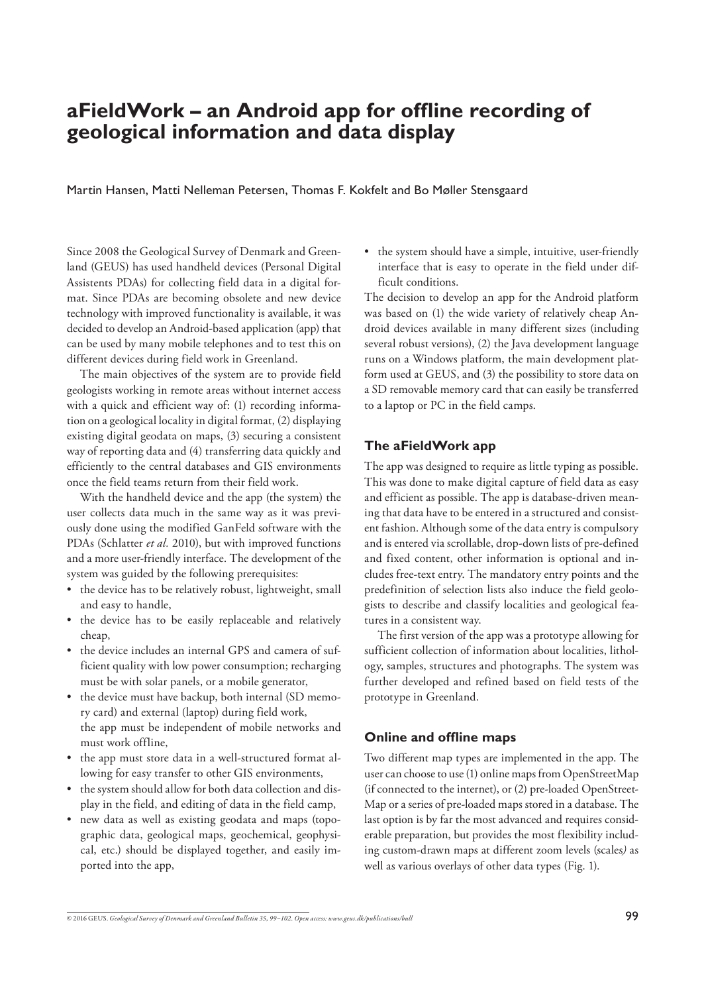# **aFieldWork – an Android app for offline recording of geological information and data display**

Martin Hansen, Matti Nelleman Petersen, Thomas F. Kokfelt and Bo Møller Stensgaard

Since 2008 the Geological Survey of Denmark and Greenland (GEUS) has used handheld devices (Personal Digital Assistents PDAs) for collecting field data in a digital format. Since PDAs are becoming obsolete and new device technology with improved functionality is available, it was decided to develop an Android-based application (app) that can be used by many mobile telephones and to test this on different devices during field work in Greenland.

 The main objectives of the system are to provide field geologists working in remote areas without internet access with a quick and efficient way of: (1) recording information on a geological locality in digital format, (2) displaying existing digital geodata on maps, (3) securing a consistent way of reporting data and (4) transferring data quickly and efficiently to the central databases and GIS environments once the field teams return from their field work.

 With the handheld device and the app (the system) the user collects data much in the same way as it was previously done using the modified GanFeld software with the PDAs (Schlatter *et al.* 2010), but with improved functions and a more user-friendly interface. The development of the system was guided by the following prerequisites:

- the device has to be relatively robust, lightweight, small and easy to handle,
- the device has to be easily replaceable and relatively cheap,
- the device includes an internal GPS and camera of sufficient quality with low power consumption; recharging must be with solar panels, or a mobile generator,
- the device must have backup, both internal (SD memory card) and external (laptop) during field work, the app must be independent of mobile networks and must work offline,
- the app must store data in a well-structured format allowing for easy transfer to other GIS environments,
- the system should allow for both data collection and display in the field, and editing of data in the field camp,
- new data as well as existing geodata and maps (topographic data, geological maps, geochemical, geophysical, etc.) should be displayed together, and easily imported into the app,

• the system should have a simple, intuitive, user-friendly interface that is easy to operate in the field under difficult conditions.

The decision to develop an app for the Android platform was based on (1) the wide variety of relatively cheap Android devices available in many different sizes (including several robust versions), (2) the Java development language runs on a Windows platform, the main development platform used at GEUS, and (3) the possibility to store data on a SD removable memory card that can easily be transferred to a laptop or PC in the field camps.

### **The aFieldWork app**

The app was designed to require as little typing as possible. This was done to make digital capture of field data as easy and efficient as possible. The app is database-driven meaning that data have to be entered in a structured and consistent fashion. Although some of the data entry is compulsory and is entered via scrollable, drop-down lists of pre-defined and fixed content, other information is optional and includes free-text entry. The mandatory entry points and the predefinition of selection lists also induce the field geologists to describe and classify localities and geological features in a consistent way.

 The first version of the app was a prototype allowing for sufficient collection of information about localities, lithology, samples, structures and photographs. The system was further developed and refined based on field tests of the prototype in Greenland.

### **Online and offline maps**

Two different map types are implemented in the app. The user can choose to use (1) online maps from OpenStreetMap (if connected to the internet), or (2) pre-loaded OpenStreet-Map or a series of pre-loaded maps stored in a database. The last option is by far the most advanced and requires considerable preparation, but provides the most flexibility including custom-drawn maps at different zoom levels (scales*)* as well as various overlays of other data types (Fig. 1).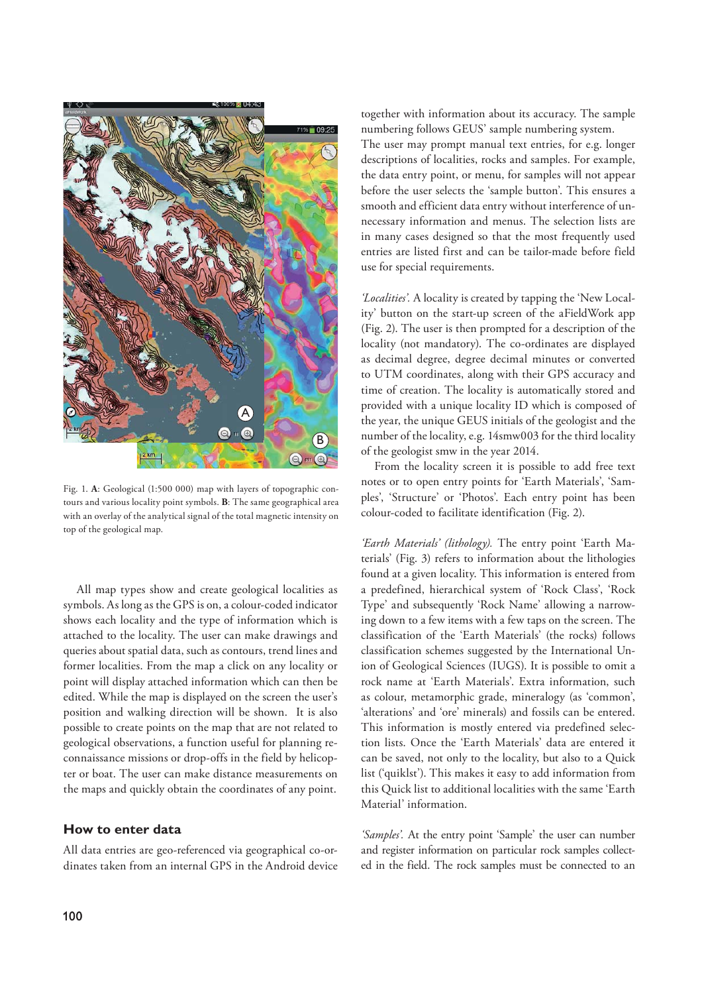

Fig. 1. **A**: Geological (1:500 000) map with layers of topographic contours and various locality point symbols. **B**: The same geographical area with an overlay of the analytical signal of the total magnetic intensity on top of the geological map.

 All map types show and create geological localities as symbols. As long as the GPS is on, a colour-coded indicator shows each locality and the type of information which is attached to the locality. The user can make drawings and queries about spatial data, such as contours, trend lines and former localities. From the map a click on any locality or point will display attached information which can then be edited. While the map is displayed on the screen the user's position and walking direction will be shown. It is also possible to create points on the map that are not related to geological observations, a function useful for planning reconnaissance missions or drop-offs in the field by helicopter or boat. The user can make distance measurements on the maps and quickly obtain the coordinates of any point.

#### **How to enter data**

All data entries are geo-referenced via geographical co-ordinates taken from an internal GPS in the Android device together with information about its accuracy. The sample numbering follows GEUS' sample numbering system. The user may prompt manual text entries, for e.g. longer descriptions of localities, rocks and samples. For example, the data entry point, or menu, for samples will not appear before the user selects the 'sample button'. This ensures a smooth and efficient data entry without interference of unnecessary information and menus. The selection lists are in many cases designed so that the most frequently used entries are listed first and can be tailor-made before field use for special requirements.

*'Localities'.* A locality is created by tapping the 'New Locality' button on the start-up screen of the aFieldWork app (Fig. 2). The user is then prompted for a description of the locality (not mandatory). The co-ordinates are displayed as decimal degree, degree decimal minutes or converted to UTM coordinates, along with their GPS accuracy and time of creation. The locality is automatically stored and provided with a unique locality ID which is composed of the year, the unique GEUS initials of the geologist and the number of the locality, e.g. 14smw003 for the third locality of the geologist smw in the year 2014.

 From the locality screen it is possible to add free text notes or to open entry points for 'Earth Materials', 'Samples', 'Structure' or 'Photos'. Each entry point has been colour-coded to facilitate identification (Fig. 2).

*'Earth Materials' (lithology).* The entry point 'Earth Materials' (Fig. 3) refers to information about the lithologies found at a given locality. This information is entered from a predefined, hierarchical system of 'Rock Class', 'Rock Type' and subsequently 'Rock Name' allowing a narrowing down to a few items with a few taps on the screen. The classification of the 'Earth Materials' (the rocks) follows classification schemes suggested by the International Union of Geological Sciences (IUGS). It is possible to omit a rock name at 'Earth Materials'. Extra information, such as colour, metamorphic grade, mineralogy (as 'common', 'alterations' and 'ore' minerals) and fossils can be entered. This information is mostly entered via predefined selection lists. Once the 'Earth Materials' data are entered it can be saved, not only to the locality, but also to a Quick list ('quiklst'). This makes it easy to add information from this Quick list to additional localities with the same 'Earth Material' information.

*'Samples'.* At the entry point 'Sample' the user can number and register information on particular rock samples collected in the field. The rock samples must be connected to an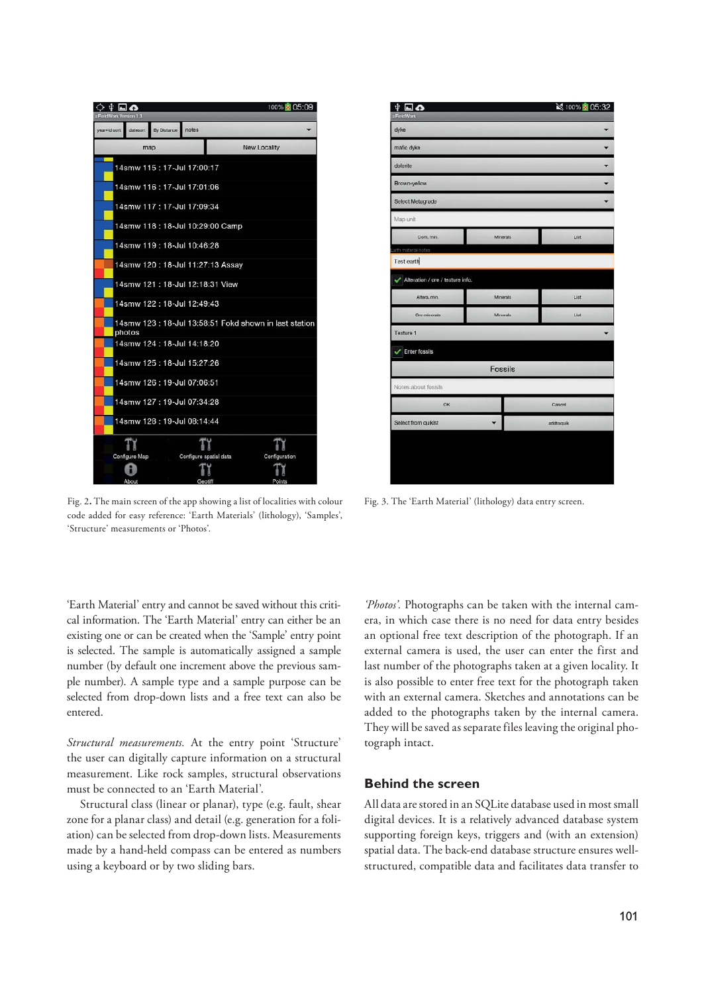

Fig. 2**.** The main screen of the app showing a list of localities with colour code added for easy reference: 'Earth Materials' (lithology), 'Samples', 'Structure' measurements or 'Photos'.

 $\ddot{\Psi}$  and mafic dyke dologita Brown-yelloy **Select Metagrad** Map unit  $C<sub>2</sub>$  m **Mineral** .<br>Filip Test earth Alteration / ore / texture info Altera mir Mineral **Time** Texture 1  $\overline{\smile}$  Enter fossils Fossils tes about fossile  $\alpha$ Cancel **Select from quikist** addtoguik

Fig. 3. The 'Earth Material' (lithology) data entry screen.

'Earth Material' entry and cannot be saved without this critical information. The 'Earth Material' entry can either be an existing one or can be created when the 'Sample' entry point is selected. The sample is automatically assigned a sample number (by default one increment above the previous sample number). A sample type and a sample purpose can be selected from drop-down lists and a free text can also be entered.

*Structural measurements.* At the entry point 'Structure' the user can digitally capture information on a structural measurement. Like rock samples, structural observations must be connected to an 'Earth Material'.

 Structural class (linear or planar), type (e.g. fault, shear zone for a planar class) and detail (e.g. generation for a foliation) can be selected from drop-down lists. Measurements made by a hand-held compass can be entered as numbers using a keyboard or by two sliding bars.

*'Photos'.* Photographs can be taken with the internal camera, in which case there is no need for data entry besides an optional free text description of the photograph. If an external camera is used, the user can enter the first and last number of the photographs taken at a given locality. It is also possible to enter free text for the photograph taken with an external camera. Sketches and annotations can be added to the photographs taken by the internal camera. They will be saved as separate files leaving the original photograph intact.

### **Behind the screen**

All data are stored in an SQLite database used in most small digital devices. It is a relatively advanced database system supporting foreign keys, triggers and (with an extension) spatial data. The back-end database structure ensures wellstructured, compatible data and facilitates data transfer to